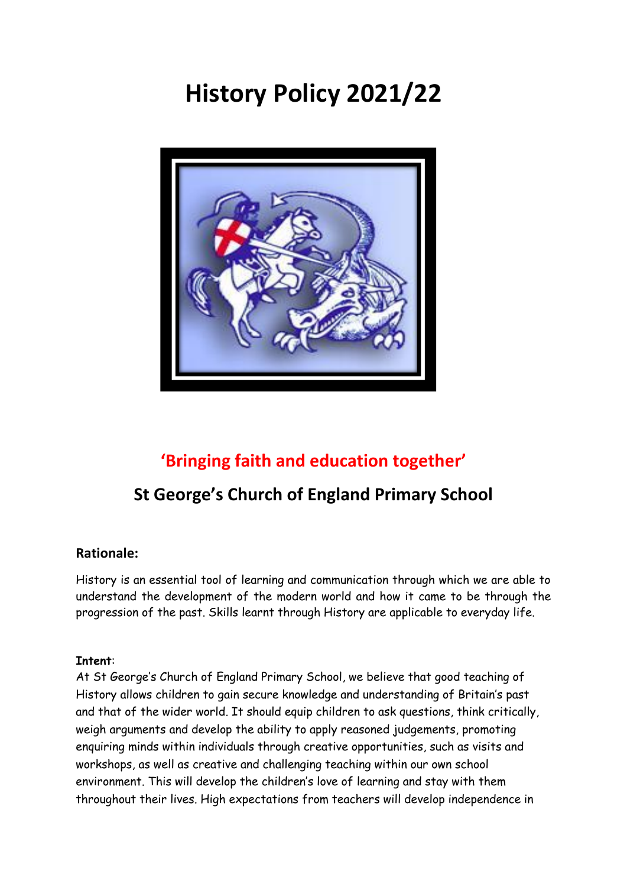# **History Policy 2021/22**



# **'Bringing faith and education together'**

# **St George's Church of England Primary School**

# **Rationale:**

History is an essential tool of learning and communication through which we are able to understand the development of the modern world and how it came to be through the progression of the past. Skills learnt through History are applicable to everyday life.

## **Intent**:

At St George's Church of England Primary School, we believe that good teaching of History allows children to gain secure knowledge and understanding of Britain's past and that of the wider world. It should equip children to ask questions, think critically, weigh arguments and develop the ability to apply reasoned judgements, promoting enquiring minds within individuals through creative opportunities, such as visits and workshops, as well as creative and challenging teaching within our own school environment. This will develop the children's love of learning and stay with them throughout their lives. High expectations from teachers will develop independence in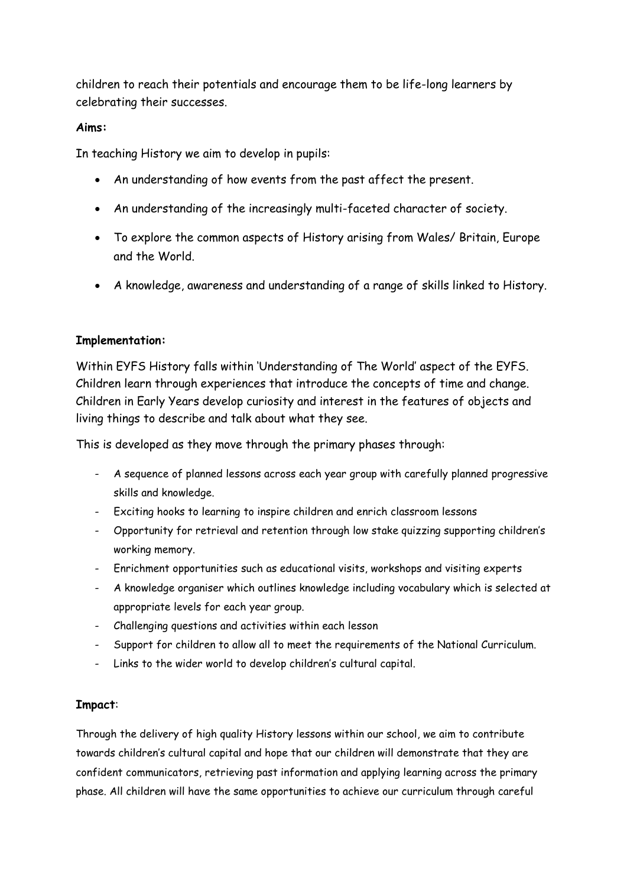children to reach their potentials and encourage them to be life-long learners by celebrating their successes.

#### **Aims:**

In teaching History we aim to develop in pupils:

- An understanding of how events from the past affect the present.
- An understanding of the increasingly multi-faceted character of society.
- To explore the common aspects of History arising from Wales/ Britain, Europe and the World.
- A knowledge, awareness and understanding of a range of skills linked to History.

## **Implementation:**

Within EYFS History falls within 'Understanding of The World' aspect of the EYFS. Children learn through experiences that introduce the concepts of time and change. Children in Early Years develop curiosity and interest in the features of objects and living things to describe and talk about what they see.

This is developed as they move through the primary phases through:

- A sequence of planned lessons across each year group with carefully planned progressive skills and knowledge.
- Exciting hooks to learning to inspire children and enrich classroom lessons
- Opportunity for retrieval and retention through low stake quizzing supporting children's working memory.
- Enrichment opportunities such as educational visits, workshops and visiting experts
- A knowledge organiser which outlines knowledge including vocabulary which is selected at appropriate levels for each year group.
- Challenging questions and activities within each lesson
- Support for children to allow all to meet the requirements of the National Curriculum.
- Links to the wider world to develop children's cultural capital.

#### **Impact**:

Through the delivery of high quality History lessons within our school, we aim to contribute towards children's cultural capital and hope that our children will demonstrate that they are confident communicators, retrieving past information and applying learning across the primary phase. All children will have the same opportunities to achieve our curriculum through careful